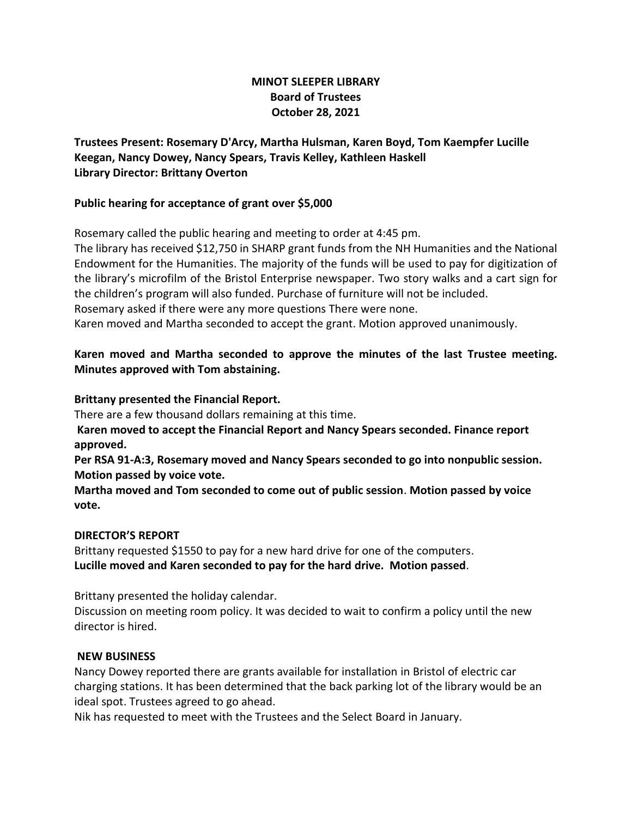# **MINOT SLEEPER LIBRARY Board of Trustees October 28, 2021**

**Trustees Present: Rosemary D'Arcy, Martha Hulsman, Karen Boyd, Tom Kaempfer Lucille Keegan, Nancy Dowey, Nancy Spears, Travis Kelley, Kathleen Haskell Library Director: Brittany Overton** 

#### **Public hearing for acceptance of grant over \$5,000**

Rosemary called the public hearing and meeting to order at 4:45 pm.

The library has received \$12,750 in SHARP grant funds from the NH Humanities and the National Endowment for the Humanities. The majority of the funds will be used to pay for digitization of the library's microfilm of the Bristol Enterprise newspaper. Two story walks and a cart sign for the children's program will also funded. Purchase of furniture will not be included. Rosemary asked if there were any more questions There were none. Karen moved and Martha seconded to accept the grant. Motion approved unanimously.

# **Karen moved and Martha seconded to approve the minutes of the last Trustee meeting. Minutes approved with Tom abstaining.**

#### **Brittany presented the Financial Report.**

There are a few thousand dollars remaining at this time.

**Karen moved to accept the Financial Report and Nancy Spears seconded. Finance report approved.**

**Per RSA 91-A:3, Rosemary moved and Nancy Spears seconded to go into nonpublic session. Motion passed by voice vote.**

**Martha moved and Tom seconded to come out of public session**. **Motion passed by voice vote.**

## **DIRECTOR'S REPORT**

Brittany requested \$1550 to pay for a new hard drive for one of the computers. **Lucille moved and Karen seconded to pay for the hard drive. Motion passed**.

Brittany presented the holiday calendar.

Discussion on meeting room policy. It was decided to wait to confirm a policy until the new director is hired.

#### **NEW BUSINESS**

Nancy Dowey reported there are grants available for installation in Bristol of electric car charging stations. It has been determined that the back parking lot of the library would be an ideal spot. Trustees agreed to go ahead.

Nik has requested to meet with the Trustees and the Select Board in January.